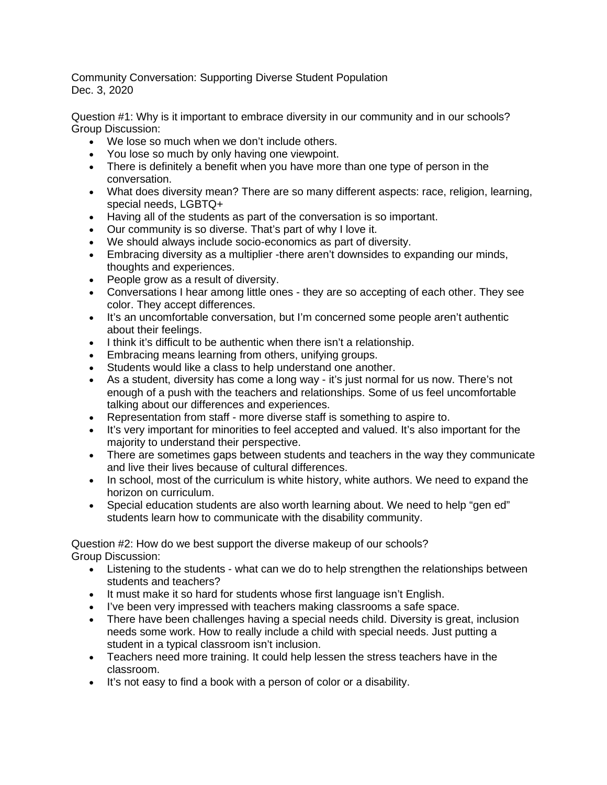Community Conversation: Supporting Diverse Student Population Dec. 3, 2020

Question #1: Why is it important to embrace diversity in our community and in our schools? Group Discussion:

- We lose so much when we don't include others.
- You lose so much by only having one viewpoint.
- There is definitely a benefit when you have more than one type of person in the conversation.
- What does diversity mean? There are so many different aspects: race, religion, learning, special needs, LGBTQ+
- Having all of the students as part of the conversation is so important.
- Our community is so diverse. That's part of why I love it.
- We should always include socio-economics as part of diversity.
- Embracing diversity as a multiplier -there aren't downsides to expanding our minds, thoughts and experiences.
- People grow as a result of diversity.
- Conversations I hear among little ones they are so accepting of each other. They see color. They accept differences.
- It's an uncomfortable conversation, but I'm concerned some people aren't authentic about their feelings.
- I think it's difficult to be authentic when there isn't a relationship.
- Embracing means learning from others, unifying groups.
- Students would like a class to help understand one another.
- As a student, diversity has come a long way it's just normal for us now. There's not enough of a push with the teachers and relationships. Some of us feel uncomfortable talking about our differences and experiences.
- Representation from staff more diverse staff is something to aspire to.
- It's very important for minorities to feel accepted and valued. It's also important for the majority to understand their perspective.
- There are sometimes gaps between students and teachers in the way they communicate and live their lives because of cultural differences.
- In school, most of the curriculum is white history, white authors. We need to expand the horizon on curriculum.
- Special education students are also worth learning about. We need to help "gen ed" students learn how to communicate with the disability community.

Question #2: How do we best support the diverse makeup of our schools? Group Discussion:

- Listening to the students what can we do to help strengthen the relationships between students and teachers?
- It must make it so hard for students whose first language isn't English.
- I've been very impressed with teachers making classrooms a safe space.
- There have been challenges having a special needs child. Diversity is great, inclusion needs some work. How to really include a child with special needs. Just putting a student in a typical classroom isn't inclusion.
- Teachers need more training. It could help lessen the stress teachers have in the classroom.
- It's not easy to find a book with a person of color or a disability.